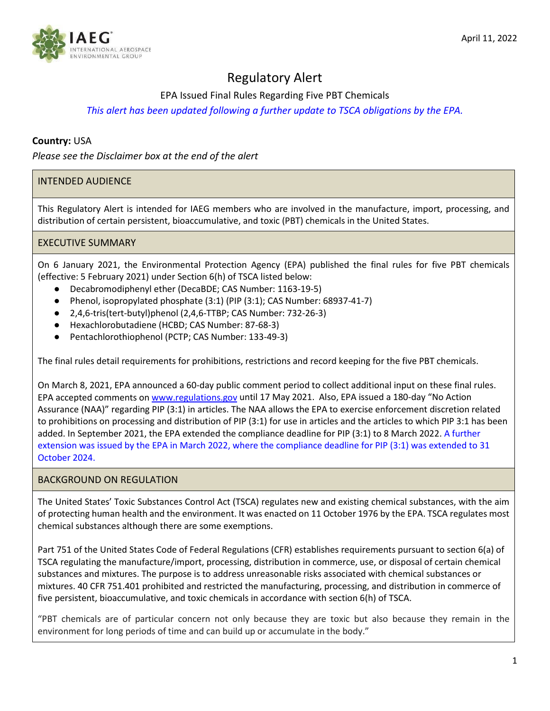

# Regulatory Alert

EPA Issued Final Rules Regarding Five PBT Chemicals

# *This alert has been updated following a further update to TSCA obligations by the EPA.*

# **Country:** USA

*Please see the Disclaimer box at the end of the alert*

# INTENDED AUDIENCE

This Regulatory Alert is intended for IAEG members who are involved in the manufacture, import, processing, and distribution of certain persistent, bioaccumulative, and toxic (PBT) chemicals in the United States.

## EXECUTIVE SUMMARY

On 6 January 2021, the Environmental Protection Agency (EPA) published the final rules for five PBT chemicals (effective: 5 February 2021) under Section 6(h) of TSCA listed below:

- Decabromodiphenyl ether (DecaBDE; CAS Number: 1163-19-5)
- Phenol, isopropylated phosphate (3:1) (PIP (3:1); CAS Number: 68937-41-7)
- 2,4,6-tris(tert-butyl)phenol (2,4,6-TTBP; CAS Number: 732-26-3)
- Hexachlorobutadiene (HCBD; CAS Number: 87-68-3)
- Pentachlorothiophenol (PCTP; CAS Number: 133-49-3)

The final rules detail requirements for prohibitions, restrictions and record keeping for the five PBT chemicals.

On March 8, 2021, EPA announced a 60-day public comment period to collect additional input on these final rules. EPA accepted comments on [www.regulations.gov](about:blank) until 17 May 2021. Also, EPA issued a 180-day "No Action Assurance (NAA)" regarding PIP (3:1) in articles. The NAA allows the EPA to exercise enforcement discretion related to prohibitions on processing and distribution of PIP (3:1) for use in articles and the articles to which PIP 3:1 has been added. In September 2021, the EPA extended the compliance deadline for PIP (3:1) to 8 March 2022. A further extension was issued by the EPA in March 2022, where the compliance deadline for PIP (3:1) was extended to 31 October 2024.

#### BACKGROUND ON REGULATION

The United States' Toxic Substances Control Act (TSCA) regulates new and existing chemical substances, with the aim of protecting human health and the environment. It was enacted on 11 October 1976 by the EPA. TSCA regulates most chemical substances although there are some exemptions.

Part 751 of the United States Code of Federal Regulations (CFR) establishes requirements pursuant to section 6(a) of TSCA regulating the manufacture/import, processing, distribution in commerce, use, or disposal of certain chemical substances and mixtures. The purpose is to address unreasonable risks associated with chemical substances or mixtures. 40 CFR 751.401 prohibited and restricted the manufacturing, processing, and distribution in commerce of five persistent, bioaccumulative, and toxic chemicals in accordance with section 6(h) of TSCA.

"PBT chemicals are of particular concern not only because they are toxic but also because they remain in the environment for long periods of time and can build up or accumulate in the body."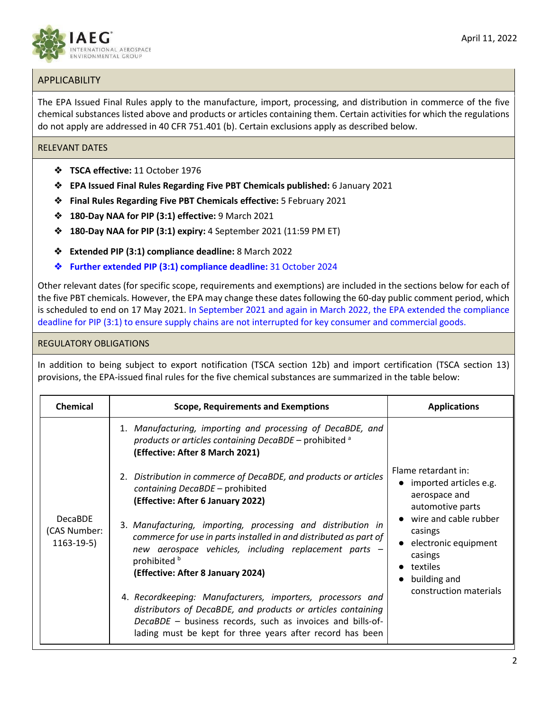

The EPA Issued Final Rules apply to the manufacture, import, processing, and distribution in commerce of the five chemical substances listed above and products or articles containing them. Certain activities for which the regulations do not apply are addressed in 40 CFR 751.401 (b). Certain exclusions apply as described below.

#### RELEVANT DATES

- ❖ **TSCA effective:** 11 October 1976
- ❖ **EPA Issued Final Rules Regarding Five PBT Chemicals published:** 6 January 2021
- ❖ **Final Rules Regarding Five PBT Chemicals effective:** 5 February 2021
- ❖ **180-Day NAA for PIP (3:1) effective:** 9 March 2021
- ❖ **180-Day NAA for PIP (3:1) expiry:** 4 September 2021 (11:59 PM ET)
- ❖ **Extended PIP (3:1) compliance deadline:** 8 March 2022
- ❖ **Further extended PIP (3:1) compliance deadline:** 31 October 2024

Other relevant dates (for specific scope, requirements and exemptions) are included in the sections below for each of the five PBT chemicals. However, the EPA may change these dates following the 60-day public comment period, which is scheduled to end on 17 May 2021. In September 2021 and again in March 2022, the EPA extended the compliance deadline for PIP (3:1) to ensure supply chains are not interrupted for key consumer and commercial goods.

#### REGULATORY OBLIGATIONS

In addition to being subject to export notification (TSCA section 12b) and import certification (TSCA section 13) provisions, the EPA-issued final rules for the five chemical substances are summarized in the table below:

| <b>Chemical</b>                                | <b>Scope, Requirements and Exemptions</b>                                                                                                                                                                                                             | <b>Applications</b>                                                                                                                                                                                                 |
|------------------------------------------------|-------------------------------------------------------------------------------------------------------------------------------------------------------------------------------------------------------------------------------------------------------|---------------------------------------------------------------------------------------------------------------------------------------------------------------------------------------------------------------------|
| <b>DecaBDE</b><br>(CAS Number:<br>$1163-19-5)$ | 1. Manufacturing, importing and processing of DecaBDE, and<br>products or articles containing DecaBDE - prohibited a<br>(Effective: After 8 March 2021)<br>2. Distribution in commerce of DecaBDE, and products or articles                           | Flame retardant in:<br>• imported articles e.g.<br>aerospace and<br>automotive parts<br>wire and cable rubber<br>casings<br>• electronic equipment<br>casings<br>textiles<br>building and<br>construction materials |
|                                                | containing DecaBDE - prohibited<br>(Effective: After 6 January 2022)                                                                                                                                                                                  |                                                                                                                                                                                                                     |
|                                                | 3. Manufacturing, importing, processing and distribution in<br>commerce for use in parts installed in and distributed as part of<br>new aerospace vehicles, including replacement parts -<br>prohibited b<br>(Effective: After 8 January 2024)        |                                                                                                                                                                                                                     |
|                                                | 4. Recordkeeping: Manufacturers, importers, processors and<br>distributors of DecaBDE, and products or articles containing<br>DecaBDE - business records, such as invoices and bills-of-<br>lading must be kept for three years after record has been |                                                                                                                                                                                                                     |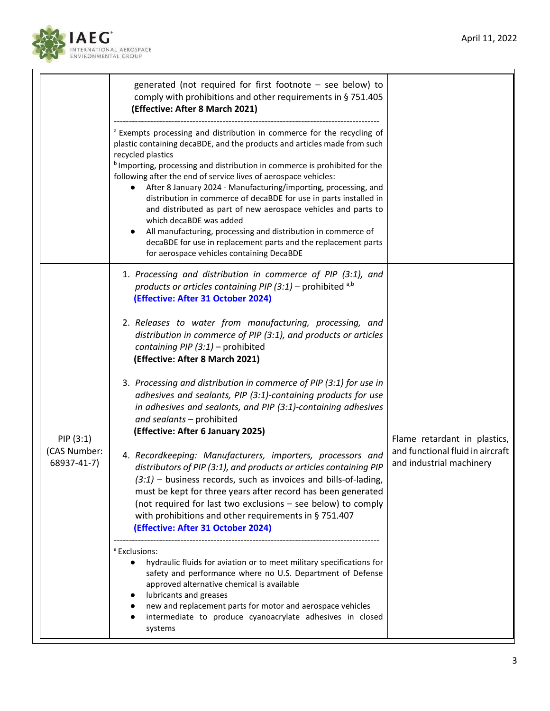

|                                          | generated (not required for first footnote $-$ see below) to<br>comply with prohibitions and other requirements in §751.405<br>(Effective: After 8 March 2021)                                                                                                                                                                                                                                                                                                                                                                                                                                                                                                                                                                                                      |                                                                                              |
|------------------------------------------|---------------------------------------------------------------------------------------------------------------------------------------------------------------------------------------------------------------------------------------------------------------------------------------------------------------------------------------------------------------------------------------------------------------------------------------------------------------------------------------------------------------------------------------------------------------------------------------------------------------------------------------------------------------------------------------------------------------------------------------------------------------------|----------------------------------------------------------------------------------------------|
|                                          | <sup>a</sup> Exempts processing and distribution in commerce for the recycling of<br>plastic containing decaBDE, and the products and articles made from such<br>recycled plastics<br><sup>b</sup> Importing, processing and distribution in commerce is prohibited for the<br>following after the end of service lives of aerospace vehicles:<br>After 8 January 2024 - Manufacturing/importing, processing, and<br>distribution in commerce of decaBDE for use in parts installed in<br>and distributed as part of new aerospace vehicles and parts to<br>which decaBDE was added<br>All manufacturing, processing and distribution in commerce of<br>decaBDE for use in replacement parts and the replacement parts<br>for aerospace vehicles containing DecaBDE |                                                                                              |
| PIP (3:1)<br>(CAS Number:<br>68937-41-7) | 1. Processing and distribution in commerce of PIP (3:1), and<br>products or articles containing PIP (3:1) – prohibited a,b<br>(Effective: After 31 October 2024)<br>2. Releases to water from manufacturing, processing, and<br>distribution in commerce of PIP (3:1), and products or articles<br>containing PIP $(3:1)$ – prohibited                                                                                                                                                                                                                                                                                                                                                                                                                              |                                                                                              |
|                                          | (Effective: After 8 March 2021)<br>3. Processing and distribution in commerce of PIP (3:1) for use in<br>adhesives and sealants, PIP (3:1)-containing products for use<br>in adhesives and sealants, and PIP (3:1)-containing adhesives<br>and sealants - prohibited<br>(Effective: After 6 January 2025)<br>4. Recordkeeping: Manufacturers, importers, processors and<br>distributors of PIP (3:1), and products or articles containing PIP<br>$(3:1)$ – business records, such as invoices and bills-of-lading,<br>must be kept for three years after record has been generated<br>(not required for last two exclusions - see below) to comply<br>with prohibitions and other requirements in § 751.407<br>(Effective: After 31 October 2024)                   | Flame retardant in plastics,<br>and functional fluid in aircraft<br>and industrial machinery |
|                                          | <sup>a</sup> Exclusions:<br>hydraulic fluids for aviation or to meet military specifications for<br>$\bullet$<br>safety and performance where no U.S. Department of Defense<br>approved alternative chemical is available<br>lubricants and greases<br>new and replacement parts for motor and aerospace vehicles<br>intermediate to produce cyanoacrylate adhesives in closed<br>systems                                                                                                                                                                                                                                                                                                                                                                           |                                                                                              |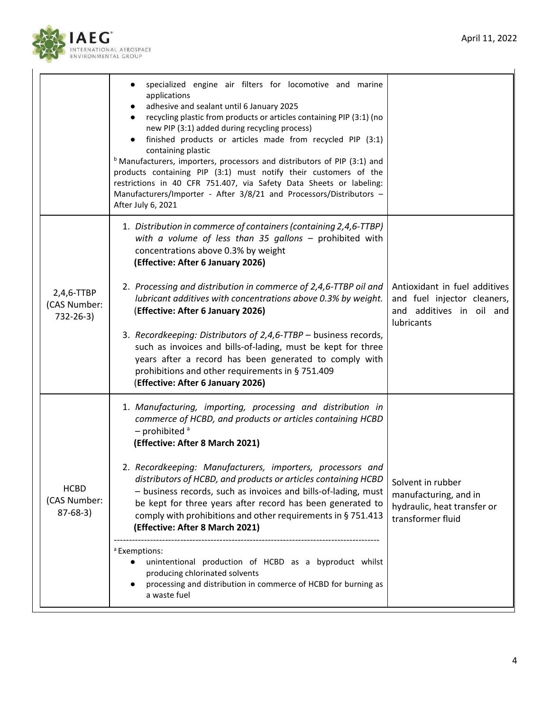



|                                           | specialized engine air filters for locomotive and marine<br>applications<br>adhesive and sealant until 6 January 2025<br>recycling plastic from products or articles containing PIP (3:1) (no<br>new PIP (3:1) added during recycling process)<br>finished products or articles made from recycled PIP (3:1)<br>containing plastic<br><sup>b</sup> Manufacturers, importers, processors and distributors of PIP (3:1) and<br>products containing PIP (3:1) must notify their customers of the<br>restrictions in 40 CFR 751.407, via Safety Data Sheets or labeling:<br>Manufacturers/Importer - After 3/8/21 and Processors/Distributors -<br>After July 6, 2021                                                                                               |                                                                                                        |
|-------------------------------------------|-----------------------------------------------------------------------------------------------------------------------------------------------------------------------------------------------------------------------------------------------------------------------------------------------------------------------------------------------------------------------------------------------------------------------------------------------------------------------------------------------------------------------------------------------------------------------------------------------------------------------------------------------------------------------------------------------------------------------------------------------------------------|--------------------------------------------------------------------------------------------------------|
| 2,4,6-TTBP<br>(CAS Number:<br>732-26-3)   | 1. Distribution in commerce of containers (containing 2,4,6-TTBP)<br>with a volume of less than 35 gallons $-$ prohibited with<br>concentrations above 0.3% by weight<br>(Effective: After 6 January 2026)<br>2. Processing and distribution in commerce of 2,4,6-TTBP oil and<br>lubricant additives with concentrations above 0.3% by weight.<br>(Effective: After 6 January 2026)<br>3. Recordkeeping: Distributors of 2,4,6-TTBP - business records,<br>such as invoices and bills-of-lading, must be kept for three<br>years after a record has been generated to comply with<br>prohibitions and other requirements in § 751.409<br>(Effective: After 6 January 2026)                                                                                     | Antioxidant in fuel additives<br>and fuel injector cleaners,<br>and additives in oil and<br>lubricants |
| <b>HCBD</b><br>(CAS Number:<br>$87-68-3)$ | 1. Manufacturing, importing, processing and distribution in<br>commerce of HCBD, and products or articles containing HCBD<br>$-$ prohibited $a$<br>(Effective: After 8 March 2021)<br>2. Recordkeeping: Manufacturers, importers, processors and<br>distributors of HCBD, and products or articles containing HCBD<br>- business records, such as invoices and bills-of-lading, must<br>be kept for three years after record has been generated to<br>comply with prohibitions and other requirements in § 751.413<br>(Effective: After 8 March 2021)<br><sup>a</sup> Exemptions:<br>unintentional production of HCBD as a byproduct whilst<br>producing chlorinated solvents<br>processing and distribution in commerce of HCBD for burning as<br>a waste fuel | Solvent in rubber<br>manufacturing, and in<br>hydraulic, heat transfer or<br>transformer fluid         |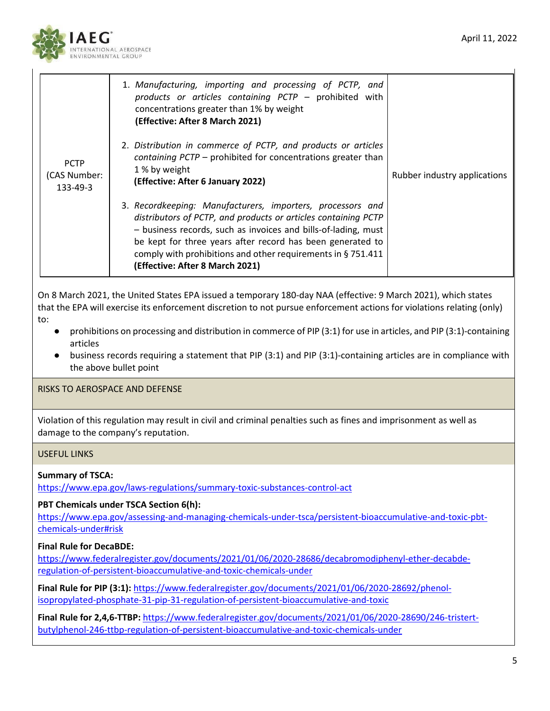

| <b>PCTP</b><br>(CAS Number:<br>133-49-3 | 1. Manufacturing, importing and processing of PCTP, and<br>products or articles containing PCTP - prohibited with<br>concentrations greater than 1% by weight<br>(Effective: After 8 March 2021)                                                                                                                                                                   |                              |
|-----------------------------------------|--------------------------------------------------------------------------------------------------------------------------------------------------------------------------------------------------------------------------------------------------------------------------------------------------------------------------------------------------------------------|------------------------------|
|                                         | 2. Distribution in commerce of PCTP, and products or articles<br>containing PCTP - prohibited for concentrations greater than<br>1 % by weight<br>(Effective: After 6 January 2022)                                                                                                                                                                                | Rubber industry applications |
|                                         | 3. Recordkeeping: Manufacturers, importers, processors and<br>distributors of PCTP, and products or articles containing PCTP<br>- business records, such as invoices and bills-of-lading, must<br>be kept for three years after record has been generated to<br>comply with prohibitions and other requirements in $\S$ 751.411<br>(Effective: After 8 March 2021) |                              |

On 8 March 2021, the United States EPA issued a temporary 180-day NAA (effective: 9 March 2021), which states that the EPA will exercise its enforcement discretion to not pursue enforcement actions for violations relating (only) to:

- prohibitions on processing and distribution in commerce of PIP (3:1) for use in articles, and PIP (3:1)-containing articles
- business records requiring a statement that PIP (3:1) and PIP (3:1)-containing articles are in compliance with the above bullet point

RISKS TO AEROSPACE AND DEFENSE

Violation of this regulation may result in civil and criminal penalties such as fines and imprisonment as well as damage to the company's reputation.

# USEFUL LINKS

#### **Summary of TSCA:**

<https://www.epa.gov/laws-regulations/summary-toxic-substances-control-act>

#### **PBT Chemicals under TSCA Section 6(h):**

[https://www.epa.gov/assessing-and-managing-chemicals-under-tsca/persistent-bioaccumulative-and-toxic-pbt](https://www.epa.gov/assessing-and-managing-chemicals-under-tsca/persistent-bioaccumulative-and-toxic-pbt-chemicals-under#risk)[chemicals-under#risk](https://www.epa.gov/assessing-and-managing-chemicals-under-tsca/persistent-bioaccumulative-and-toxic-pbt-chemicals-under#risk)

# **Final Rule for DecaBDE:**

[https://www.federalregister.gov/documents/2021/01/06/2020-28686/decabromodiphenyl-ether-decabde](https://www.federalregister.gov/documents/2021/01/06/2020-28686/decabromodiphenyl-ether-decabde-regulation-of-persistent-bioaccumulative-and-toxic-chemicals-under)[regulation-of-persistent-bioaccumulative-and-toxic-chemicals-under](https://www.federalregister.gov/documents/2021/01/06/2020-28686/decabromodiphenyl-ether-decabde-regulation-of-persistent-bioaccumulative-and-toxic-chemicals-under)

**Final Rule for PIP (3:1):** [https://www.federalregister.gov/documents/2021/01/06/2020-28692/phenol](https://www.federalregister.gov/documents/2021/01/06/2020-28692/phenol-isopropylated-phosphate-31-pip-31-regulation-of-persistent-bioaccumulative-and-toxic)[isopropylated-phosphate-31-pip-31-regulation-of-persistent-bioaccumulative-and-toxic](https://www.federalregister.gov/documents/2021/01/06/2020-28692/phenol-isopropylated-phosphate-31-pip-31-regulation-of-persistent-bioaccumulative-and-toxic)

**Final Rule for 2,4,6-TTBP:** [https://www.federalregister.gov/documents/2021/01/06/2020-28690/246-tristert](https://www.federalregister.gov/documents/2021/01/06/2020-28690/246-tristert-butylphenol-246-ttbp-regulation-of-persistent-bioaccumulative-and-toxic-chemicals-under)[butylphenol-246-ttbp-regulation-of-persistent-bioaccumulative-and-toxic-chemicals-under](https://www.federalregister.gov/documents/2021/01/06/2020-28690/246-tristert-butylphenol-246-ttbp-regulation-of-persistent-bioaccumulative-and-toxic-chemicals-under)